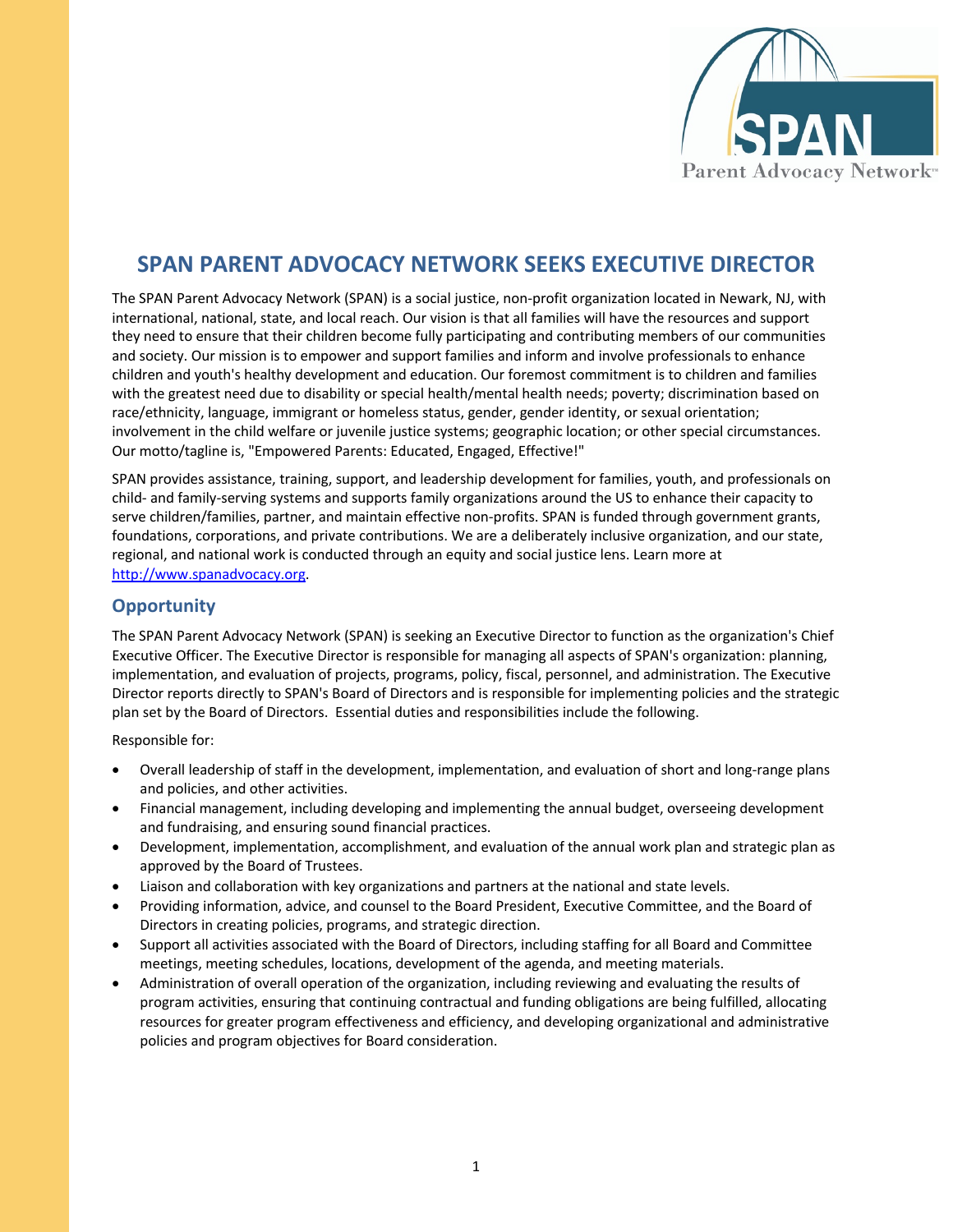

## **SPAN PARENT ADVOCACY NETWORK SEEKS EXECUTIVE DIRECTOR**

The SPAN Parent Advocacy Network (SPAN) is a social justice, non-profit organization located in Newark, NJ, with international, national, state, and local reach. Our vision is that all families will have the resources and support they need to ensure that their children become fully participating and contributing members of our communities and society. Our mission is to empower and support families and inform and involve professionals to enhance children and youth's healthy development and education. Our foremost commitment is to children and families with the greatest need due to disability or special health/mental health needs; poverty; discrimination based on race/ethnicity, language, immigrant or homeless status, gender, gender identity, or sexual orientation; involvement in the child welfare or juvenile justice systems; geographic location; or other special circumstances. Our motto/tagline is, "Empowered Parents: Educated, Engaged, Effective!"

SPAN provides assistance, training, support, and leadership development for families, youth, and professionals on child- and family-serving systems and supports family organizations around the US to enhance their capacity to serve children/families, partner, and maintain effective non-profits. SPAN is funded through government grants, foundations, corporations, and private contributions. We are a deliberately inclusive organization, and our state, regional, and national work is conducted through an equity and social justice lens. Learn more at http://www.spanadvocacy.org.

## **Opportunity**

The SPAN Parent Advocacy Network (SPAN) is seeking an Executive Director to function as the organization's Chief Executive Officer. The Executive Director is responsible for managing all aspects of SPAN's organization: planning, implementation, and evaluation of projects, programs, policy, fiscal, personnel, and administration. The Executive Director reports directly to SPAN's Board of Directors and is responsible for implementing policies and the strategic plan set by the Board of Directors. Essential duties and responsibilities include the following.

Responsible for:

- Overall leadership of staff in the development, implementation, and evaluation of short and long-range plans and policies, and other activities.
- Financial management, including developing and implementing the annual budget, overseeing development and fundraising, and ensuring sound financial practices.
- Development, implementation, accomplishment, and evaluation of the annual work plan and strategic plan as approved by the Board of Trustees.
- Liaison and collaboration with key organizations and partners at the national and state levels.
- Providing information, advice, and counsel to the Board President, Executive Committee, and the Board of Directors in creating policies, programs, and strategic direction.
- Support all activities associated with the Board of Directors, including staffing for all Board and Committee meetings, meeting schedules, locations, development of the agenda, and meeting materials.
- Administration of overall operation of the organization, including reviewing and evaluating the results of program activities, ensuring that continuing contractual and funding obligations are being fulfilled, allocating resources for greater program effectiveness and efficiency, and developing organizational and administrative policies and program objectives for Board consideration.